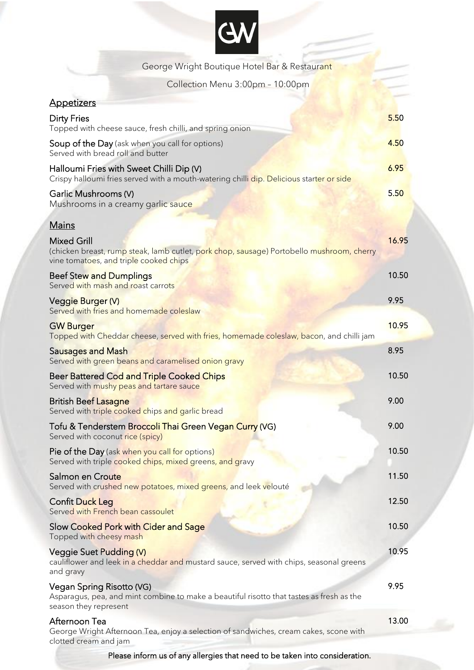## K

| George Wright Boutique Hotel Bar & Restaurant                                                                                                                            |       |
|--------------------------------------------------------------------------------------------------------------------------------------------------------------------------|-------|
| Collection Menu 3:00pm - 10:00pm                                                                                                                                         |       |
| <b>Appetizers</b>                                                                                                                                                        |       |
| <b>Dirty Fries</b><br>Topped with cheese sauce, fresh chilli, and spring onion                                                                                           | 5.50  |
| <b>Soup of the Day</b> (ask when you call for options)<br>Served with bread roll and butter                                                                              | 4.50  |
| Halloumi Fries with Sweet Chilli Dip (V)<br>Crispy halloumi fries served with a mouth-watering chilli dip. Delicious starter or side                                     | 6.95  |
| Garlic Mushrooms (V)<br>Mushrooms in a creamy garlic sauce                                                                                                               | 5.50  |
| <b>Mains</b>                                                                                                                                                             |       |
| <b>Mixed Grill</b><br>(chicken breast, rump steak, lamb cutlet, p <mark>ork chop, sausage</mark> ) Portobello mushroom, cherry<br>vine tomatoes, and triple cooked chips | 16.95 |
| <b>Beef Stew and Dumplings</b><br>Served with mash and roast carrots                                                                                                     | 10.50 |
| <b>Veggie Burger (V)</b><br>Served with fries and homemade coleslaw                                                                                                      | 9.95  |
| <b>GW Burger</b><br>Topped with Cheddar cheese, served with fries, homemade coleslaw, bacon, and chilli jam                                                              | 10.95 |
| <b>Sausages and Mash</b><br>Served with green beans and caramelised onion gravy                                                                                          | 8.95  |
| <b>Beer Battered Cod and Triple Cooked Chips</b><br>Served with mushy peas and tartare sauce                                                                             | 10.50 |
| <b>British Beef Lasagne</b><br>Served with triple cooked chips and garlic bread                                                                                          | 9.00  |
| Tofu & Tenderstem Broccoli Thai Green Vegan Curry (VG)<br>Served with coconut rice (spicy)                                                                               | 9.00  |
| Pie of the Day (ask when you call for options)<br>Served with triple cooked chips, mixed greens, and gravy                                                               | 10.50 |
| Salmon en Croute<br>Served with crushed new potatoes, mixed greens, and leek velouté                                                                                     | 11.50 |
| <b>Confit Duck Leg</b><br>Served with French bean cassoulet                                                                                                              | 12.50 |
| Slow Cooked Pork with Cider and Sage<br>Topped with cheesy mash                                                                                                          | 10.50 |
| Veggie Suet Pudding (V)<br>cauliflower and leek in a cheddar and mustard sauce, served with chips, seasonal greens<br>and gravy                                          | 10.95 |
| Vegan Spring Risotto (VG)<br>Asparagus, pea, and mint combine to make a beautiful risotto that tastes as fresh as the<br>season they represent                           | 9.95  |
| Afternoon Tea<br>George Wright Afternoon Tea, enjoy a selection of sandwiches, cream cakes, scone with<br>clotted cream and jam                                          | 13.00 |

Please inform us of any allergies that need to be taken into consideration.